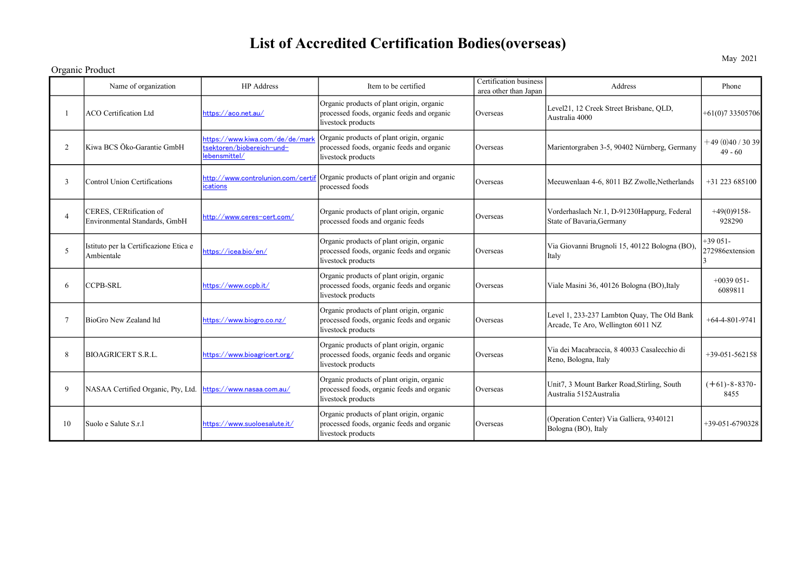## List of Accredited Certification Bodies(overseas)

Organic Product

|                | Name of organization                                     | <b>HP</b> Address                                                             | Item to be certified                                                                                          | <b>Certification</b> business<br>area other than Japan | Address                                                                           | Phone                        |
|----------------|----------------------------------------------------------|-------------------------------------------------------------------------------|---------------------------------------------------------------------------------------------------------------|--------------------------------------------------------|-----------------------------------------------------------------------------------|------------------------------|
|                | <b>ACO</b> Certification Ltd                             | https://aco.net.au/                                                           | Organic products of plant origin, organic<br>processed foods, organic feeds and organic<br>livestock products | Overseas                                               | Level21, 12 Creek Street Brisbane, QLD,<br>Australia 4000                         | +61(0)733505706              |
| 2              | Kiwa BCS Öko-Garantie GmbH                               | https://www.kiwa.com/de/de/mark<br>tsektoren/biobereich-und-<br>lebensmittel/ | Organic products of plant origin, organic<br>processed foods, organic feeds and organic<br>livestock products | Overseas                                               | Marientorgraben 3-5, 90402 Nürnberg, Germany                                      | $+49(0)40/3039$<br>$49 - 60$ |
| 3              | Control Union Certifications                             | http://www.controlunion.com/certif<br>ications                                | Organic products of plant origin and organic<br>processed foods                                               | Overseas                                               | Meeuwenlaan 4-6, 8011 BZ Zwolle, Netherlands                                      | $+31$ 223 685100             |
| $\overline{4}$ | CERES, CERtification of<br>Environmental Standards, GmbH | http://www.ceres-cert.com/                                                    | Organic products of plant origin, organic<br>processed foods and organic feeds                                | Overseas                                               | Vorderhaslach Nr.1, D-91230Happurg, Federal<br>State of Bavaria, Germany          | $+49(0)9158-$<br>928290      |
| 5              | Istituto per la Certificazione Etica e<br>Ambientale     | https://icea.bio/en/                                                          | Organic products of plant origin, organic<br>processed foods, organic feeds and organic<br>livestock products | Overseas                                               | Via Giovanni Brugnoli 15, 40122 Bologna (BO),<br>Italy                            | $+39051-$<br>272986extension |
| 6              | <b>CCPB-SRL</b>                                          | https://www.ccpb.it/                                                          | Organic products of plant origin, organic<br>processed foods, organic feeds and organic<br>livestock products | Overseas                                               | Viale Masini 36, 40126 Bologna (BO), Italy                                        | $+0039051-$<br>6089811       |
|                | BioGro New Zealand ltd                                   | https://www.biogro.co.nz/                                                     | Organic products of plant origin, organic<br>processed foods, organic feeds and organic<br>livestock products | Overseas                                               | Level 1, 233-237 Lambton Quay, The Old Bank<br>Arcade, Te Aro, Wellington 6011 NZ | $+64-4-801-9741$             |
| 8              | BIOAGRICERT S.R.L.                                       | https://www.bioagricert.org/                                                  | Organic products of plant origin, organic<br>processed foods, organic feeds and organic<br>livestock products | Overseas                                               | Via dei Macabraccia, 8 40033 Casalecchio di<br>Reno, Bologna, Italy               | $+39-051-562158$             |
| 9              | NASAA Certified Organic, Pty, Ltd.                       | https://www.nasaa.com.au/                                                     | Organic products of plant origin, organic<br>processed foods, organic feeds and organic<br>livestock products | Overseas                                               | Unit7, 3 Mount Barker Road, Stirling, South<br>Australia 5152 Australia           | $(+61) - 8 - 8370$<br>8455   |
| 10             | Suolo e Salute S.r.1                                     | https://www.suoloesalute.it/                                                  | Organic products of plant origin, organic<br>processed foods, organic feeds and organic<br>livestock products | Overseas                                               | (Operation Center) Via Galliera, 9340121<br>Bologna (BO), Italy                   | $+39-051-6790328$            |

May 2021